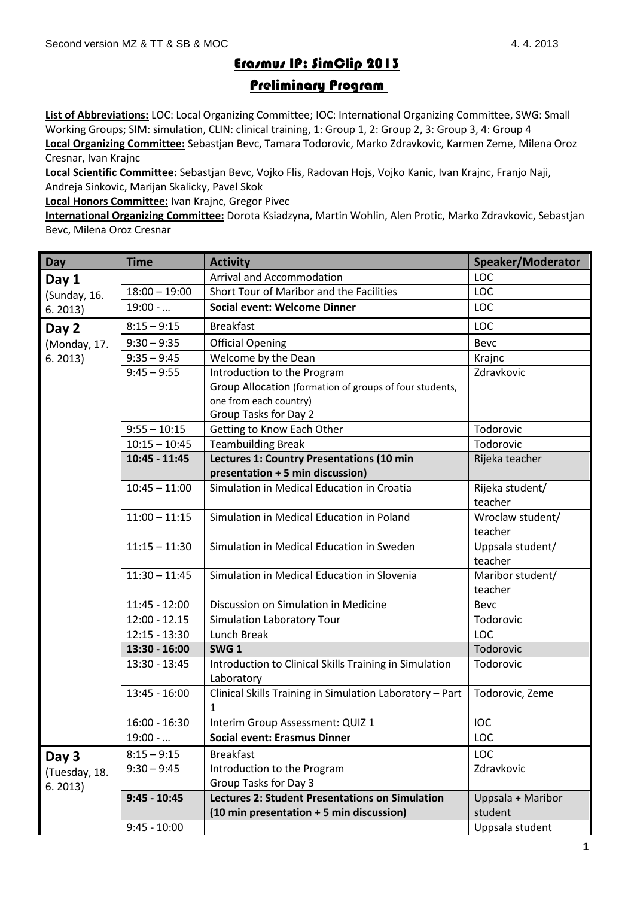## Erasmus IP: SimClip 2013

## Preliminary Program

**List of Abbreviations:** LOC: Local Organizing Committee; IOC: International Organizing Committee, SWG: Small Working Groups; SIM: simulation, CLIN: clinical training, 1: Group 1, 2: Group 2, 3: Group 3, 4: Group 4 **Local Organizing Committee:** Sebastjan Bevc, Tamara Todorovic, Marko Zdravkovic, Karmen Zeme, Milena Oroz Cresnar, Ivan Krajnc

**Local Scientific Committee:** Sebastjan Bevc, Vojko Flis, Radovan Hojs, Vojko Kanic, Ivan Krajnc, Franjo Naji, Andreja Sinkovic, Marijan Skalicky, Pavel Skok

**Local Honors Committee:** Ivan Krajnc, Gregor Pivec

**International Organizing Committee:** Dorota Ksiadzyna, Martin Wohlin, Alen Protic, Marko Zdravkovic, Sebastjan Bevc, Milena Oroz Cresnar

| <b>Day</b>    | <b>Time</b>     | <b>Activity</b>                                          | Speaker/Moderator           |
|---------------|-----------------|----------------------------------------------------------|-----------------------------|
| Day 1         |                 | <b>Arrival and Accommodation</b>                         | LOC                         |
| (Sunday, 16.  | $18:00 - 19:00$ | Short Tour of Maribor and the Facilities                 | LOC                         |
| 6.2013)       | $19:00 - $      | <b>Social event: Welcome Dinner</b>                      | LOC                         |
| Day 2         | $8:15 - 9:15$   | <b>Breakfast</b>                                         | LOC                         |
| (Monday, 17.  | $9:30 - 9:35$   | <b>Official Opening</b>                                  | Bevc                        |
| 6.2013)       | $9:35 - 9:45$   | Welcome by the Dean                                      | Krajnc                      |
|               | $9:45 - 9:55$   | Introduction to the Program                              | Zdravkovic                  |
|               |                 | Group Allocation (formation of groups of four students,  |                             |
|               |                 | one from each country)                                   |                             |
|               |                 | Group Tasks for Day 2                                    |                             |
|               | $9:55 - 10:15$  | Getting to Know Each Other                               | Todorovic                   |
|               | $10:15 - 10:45$ | <b>Teambuilding Break</b>                                | Todorovic                   |
|               | 10:45 - 11:45   | Lectures 1: Country Presentations (10 min                | Rijeka teacher              |
|               |                 | presentation + 5 min discussion)                         |                             |
|               | $10:45 - 11:00$ | Simulation in Medical Education in Croatia               | Rijeka student/             |
|               |                 |                                                          | teacher                     |
|               | $11:00 - 11:15$ | Simulation in Medical Education in Poland                | Wroclaw student/            |
|               |                 |                                                          | teacher                     |
|               | $11:15 - 11:30$ | Simulation in Medical Education in Sweden                | Uppsala student/<br>teacher |
|               | $11:30 - 11:45$ | Simulation in Medical Education in Slovenia              | Maribor student/            |
|               |                 |                                                          | teacher                     |
|               | $11:45 - 12:00$ | Discussion on Simulation in Medicine                     | Bevc                        |
|               | $12:00 - 12.15$ | Simulation Laboratory Tour                               | Todorovic                   |
|               | $12:15 - 13:30$ | Lunch Break                                              | LOC                         |
|               | 13:30 - 16:00   | SWG <sub>1</sub>                                         | Todorovic                   |
|               | 13:30 - 13:45   | Introduction to Clinical Skills Training in Simulation   | Todorovic                   |
|               |                 | Laboratory                                               |                             |
|               | $13:45 - 16:00$ | Clinical Skills Training in Simulation Laboratory - Part | Todorovic, Zeme             |
|               |                 | 1                                                        |                             |
|               | $16:00 - 16:30$ | Interim Group Assessment: QUIZ 1                         | IOC                         |
|               | $19:00 - $      | <b>Social event: Erasmus Dinner</b>                      | LOC                         |
| Day 3         | $8:15 - 9:15$   | <b>Breakfast</b>                                         | LOC                         |
| (Tuesday, 18. | $9:30 - 9:45$   | Introduction to the Program                              | Zdravkovic                  |
| 6.2013)       |                 | Group Tasks for Day 3                                    |                             |
|               | $9:45 - 10:45$  | <b>Lectures 2: Student Presentations on Simulation</b>   | Uppsala + Maribor           |
|               |                 | (10 min presentation + 5 min discussion)                 | student                     |
|               | $9:45 - 10:00$  |                                                          | Uppsala student             |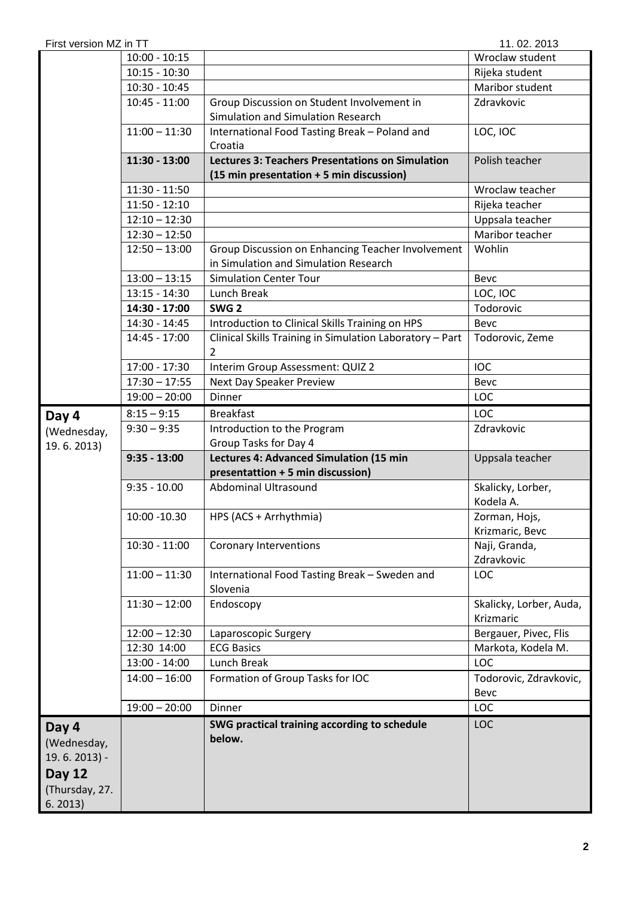| 11.02.2013<br>First version MZ in TT                                     |                 |                                                                                            |                                      |  |  |  |
|--------------------------------------------------------------------------|-----------------|--------------------------------------------------------------------------------------------|--------------------------------------|--|--|--|
|                                                                          | $10:00 - 10:15$ |                                                                                            | Wroclaw student                      |  |  |  |
|                                                                          | $10:15 - 10:30$ |                                                                                            | Rijeka student                       |  |  |  |
|                                                                          | $10:30 - 10:45$ |                                                                                            | Maribor student                      |  |  |  |
|                                                                          | $10:45 - 11:00$ | Group Discussion on Student Involvement in                                                 | Zdravkovic                           |  |  |  |
|                                                                          |                 | Simulation and Simulation Research                                                         |                                      |  |  |  |
|                                                                          | $11:00 - 11:30$ | International Food Tasting Break - Poland and<br>Croatia                                   | LOC, IOC                             |  |  |  |
|                                                                          | $11:30 - 13:00$ | <b>Lectures 3: Teachers Presentations on Simulation</b>                                    | Polish teacher                       |  |  |  |
|                                                                          |                 | (15 min presentation + 5 min discussion)                                                   |                                      |  |  |  |
|                                                                          | $11:30 - 11:50$ |                                                                                            | Wroclaw teacher                      |  |  |  |
|                                                                          | $11:50 - 12:10$ |                                                                                            | Rijeka teacher                       |  |  |  |
|                                                                          | $12:10 - 12:30$ |                                                                                            | Uppsala teacher<br>Maribor teacher   |  |  |  |
|                                                                          | $12:30 - 12:50$ |                                                                                            |                                      |  |  |  |
|                                                                          | $12:50 - 13:00$ | Group Discussion on Enhancing Teacher Involvement<br>in Simulation and Simulation Research | Wohlin                               |  |  |  |
|                                                                          | $13:00 - 13:15$ | <b>Simulation Center Tour</b><br>Bevc                                                      |                                      |  |  |  |
|                                                                          | $13:15 - 14:30$ | Lunch Break                                                                                | LOC, IOC                             |  |  |  |
|                                                                          | 14:30 - 17:00   | SWG <sub>2</sub>                                                                           | Todorovic                            |  |  |  |
|                                                                          | 14:30 - 14:45   | Introduction to Clinical Skills Training on HPS                                            | Bevc                                 |  |  |  |
|                                                                          | 14:45 - 17:00   | Clinical Skills Training in Simulation Laboratory - Part<br>2                              | Todorovic, Zeme                      |  |  |  |
|                                                                          | 17:00 - 17:30   | Interim Group Assessment: QUIZ 2                                                           | <b>IOC</b>                           |  |  |  |
|                                                                          | $17:30 - 17:55$ | Next Day Speaker Preview                                                                   | Bevc                                 |  |  |  |
|                                                                          | $19:00 - 20:00$ | Dinner                                                                                     | <b>LOC</b>                           |  |  |  |
| Day 4                                                                    | $8:15 - 9:15$   | <b>Breakfast</b>                                                                           | <b>LOC</b>                           |  |  |  |
| (Wednesday,                                                              | $9:30 - 9:35$   | Introduction to the Program                                                                | Zdravkovic                           |  |  |  |
| 19.6.2013)                                                               |                 | Group Tasks for Day 4                                                                      |                                      |  |  |  |
|                                                                          | $9:35 - 13:00$  | Lectures 4: Advanced Simulation (15 min                                                    | Uppsala teacher                      |  |  |  |
|                                                                          |                 | presentattion + 5 min discussion)                                                          |                                      |  |  |  |
|                                                                          | $9:35 - 10.00$  | <b>Abdominal Ultrasound</b>                                                                | Skalicky, Lorber,<br>Kodela A.       |  |  |  |
|                                                                          | 10:00 -10.30    | HPS (ACS + Arrhythmia)                                                                     | Zorman, Hojs,<br>Krizmaric, Bevc     |  |  |  |
|                                                                          | $10:30 - 11:00$ | Coronary Interventions                                                                     | Naji, Granda,                        |  |  |  |
|                                                                          |                 |                                                                                            | Zdravkovic                           |  |  |  |
|                                                                          | $11:00 - 11:30$ | International Food Tasting Break - Sweden and<br>Slovenia                                  | <b>LOC</b>                           |  |  |  |
|                                                                          | $11:30 - 12:00$ | Endoscopy                                                                                  | Skalicky, Lorber, Auda,<br>Krizmaric |  |  |  |
|                                                                          | $12:00 - 12:30$ | Laparoscopic Surgery                                                                       | Bergauer, Pivec, Flis                |  |  |  |
|                                                                          | 12:30 14:00     | <b>ECG Basics</b>                                                                          | Markota, Kodela M.                   |  |  |  |
|                                                                          | $13:00 - 14:00$ | Lunch Break                                                                                | LOC                                  |  |  |  |
|                                                                          | $14:00 - 16:00$ | Formation of Group Tasks for IOC                                                           | Todorovic, Zdravkovic,               |  |  |  |
|                                                                          |                 |                                                                                            | Bevc                                 |  |  |  |
|                                                                          | $19:00 - 20:00$ | Dinner                                                                                     | LOC                                  |  |  |  |
| Day 4<br>(Wednesday,<br>$19.6.2013$ -<br><b>Day 12</b><br>(Thursday, 27. |                 | SWG practical training according to schedule<br>below.                                     | <b>LOC</b>                           |  |  |  |
| 6.2013)                                                                  |                 |                                                                                            |                                      |  |  |  |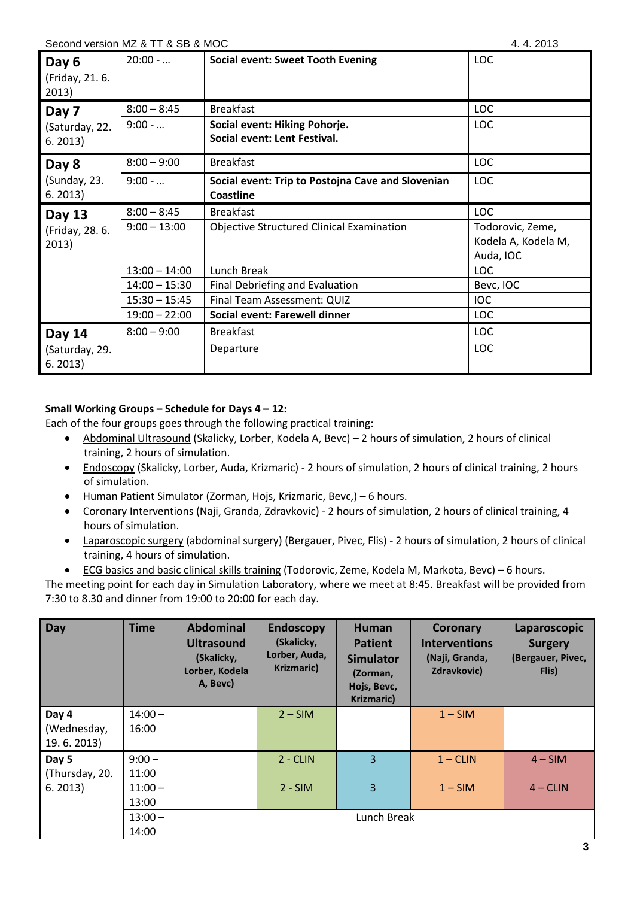| Second version MZ & TT & SB & MOC | 4.4.2013 |
|-----------------------------------|----------|
|-----------------------------------|----------|

| Day 6<br>(Friday, 21.6.<br>2013) | $20:00 - $      | <b>Social event: Sweet Tooth Evening</b>                              | <b>LOC</b>                                           |
|----------------------------------|-----------------|-----------------------------------------------------------------------|------------------------------------------------------|
| Day 7                            | $8:00 - 8:45$   | <b>Breakfast</b>                                                      | <b>LOC</b>                                           |
| (Saturday, 22.<br>6.2013)        | $9:00 - $       | Social event: Hiking Pohorje.<br>Social event: Lent Festival.         | <b>LOC</b>                                           |
| Day 8                            | $8:00 - 9:00$   | <b>Breakfast</b>                                                      | <b>LOC</b>                                           |
| (Sunday, 23.<br>6.2013)          | $9:00 - $       | Social event: Trip to Postojna Cave and Slovenian<br><b>Coastline</b> | <b>LOC</b>                                           |
| Day 13                           | $8:00 - 8:45$   | <b>Breakfast</b>                                                      | <b>LOC</b>                                           |
| (Friday, 28. 6.<br>2013)         | $9:00 - 13:00$  | <b>Objective Structured Clinical Examination</b>                      | Todorovic, Zeme,<br>Kodela A, Kodela M,<br>Auda, IOC |
|                                  | $13:00 - 14:00$ | Lunch Break                                                           | <b>LOC</b>                                           |
|                                  | $14:00 - 15:30$ | Final Debriefing and Evaluation                                       | Bevc, IOC                                            |
|                                  | $15:30 - 15:45$ | Final Team Assessment: QUIZ                                           | <b>IOC</b>                                           |
|                                  | $19:00 - 22:00$ | Social event: Farewell dinner                                         | <b>LOC</b>                                           |
| <b>Day 14</b>                    | $8:00 - 9:00$   | <b>Breakfast</b>                                                      | LOC                                                  |
| (Saturday, 29.<br>6.2013)        |                 | Departure                                                             | <b>LOC</b>                                           |

## **Small Working Groups – Schedule for Days 4 – 12:**

Each of the four groups goes through the following practical training:

- Abdominal Ultrasound (Skalicky, Lorber, Kodela A, Bevc) 2 hours of simulation, 2 hours of clinical training, 2 hours of simulation.
- Endoscopy (Skalicky, Lorber, Auda, Krizmaric) 2 hours of simulation, 2 hours of clinical training, 2 hours of simulation.
- Human Patient Simulator (Zorman, Hojs, Krizmaric, Bevc,) 6 hours.
- Coronary Interventions (Naji, Granda, Zdravkovic) 2 hours of simulation, 2 hours of clinical training, 4 hours of simulation.
- Laparoscopic surgery (abdominal surgery) (Bergauer, Pivec, Flis) 2 hours of simulation, 2 hours of clinical training, 4 hours of simulation.
- ECG basics and basic clinical skills training (Todorovic, Zeme, Kodela M, Markota, Bevc) 6 hours.

The meeting point for each day in Simulation Laboratory, where we meet at 8:45. Breakfast will be provided from 7:30 to 8.30 and dinner from 19:00 to 20:00 for each day.

| Day                                | <b>Time</b>        | <b>Abdominal</b><br><b>Ultrasound</b><br>(Skalicky,<br>Lorber, Kodela<br>A, Bevc) | <b>Endoscopy</b><br>(Skalicky,<br>Lorber, Auda,<br>Krizmaric) | <b>Human</b><br><b>Patient</b><br><b>Simulator</b><br>(Zorman,<br>Hojs, Bevc,<br><b>Krizmaric)</b> | Coronary<br><b>Interventions</b><br>(Naji, Granda,<br><b>Zdravkovic)</b> | Laparoscopic<br><b>Surgery</b><br>(Bergauer, Pivec,<br>Flis) |
|------------------------------------|--------------------|-----------------------------------------------------------------------------------|---------------------------------------------------------------|----------------------------------------------------------------------------------------------------|--------------------------------------------------------------------------|--------------------------------------------------------------|
| Day 4<br>(Wednesday,<br>19.6.2013) | $14:00 -$<br>16:00 |                                                                                   | $2 - SIM$                                                     |                                                                                                    | $1 - SIM$                                                                |                                                              |
| Day 5<br>(Thursday, 20.<br>6.2013) | $9:00 -$<br>11:00  |                                                                                   | $2 - CLIN$                                                    | $\overline{3}$                                                                                     | $1 - CLIN$                                                               | $4 - SIM$                                                    |
|                                    | $11:00 -$<br>13:00 |                                                                                   | $2 - SIM$                                                     | $\overline{3}$                                                                                     | $1 - SIM$                                                                | $4 - CLIN$                                                   |
|                                    | $13:00 -$<br>14:00 |                                                                                   |                                                               | Lunch Break                                                                                        |                                                                          |                                                              |